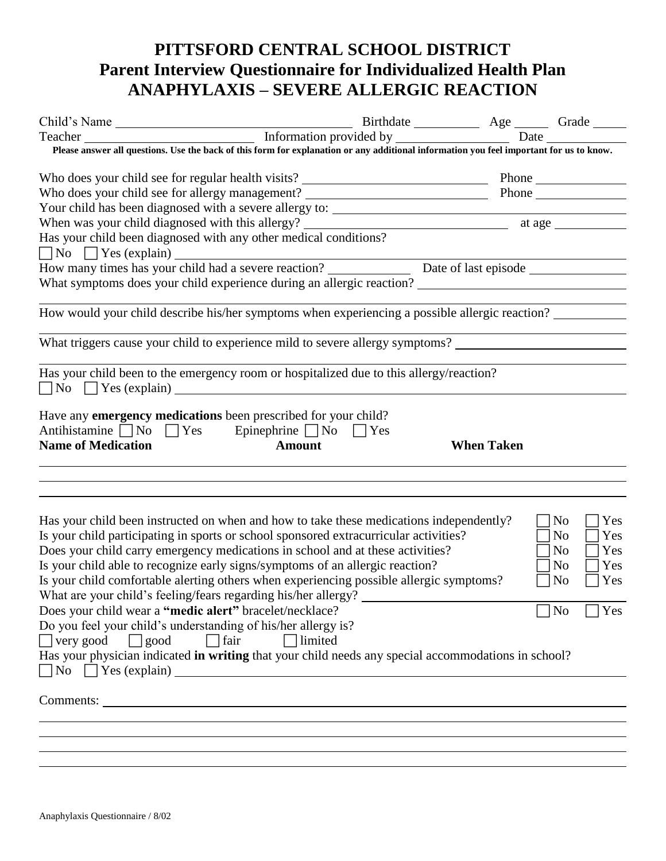## **PITTSFORD CENTRAL SCHOOL DISTRICT Parent Interview Questionnaire for Individualized Health Plan ANAPHYLAXIS – SEVERE ALLERGIC REACTION**

| Please answer all questions. Use the back of this form for explanation or any additional information you feel important for us to know.  |                   |                       |
|------------------------------------------------------------------------------------------------------------------------------------------|-------------------|-----------------------|
|                                                                                                                                          |                   |                       |
|                                                                                                                                          |                   |                       |
| Who does your child see for allergy management? ________________________________                                                         |                   | Phone                 |
|                                                                                                                                          |                   |                       |
|                                                                                                                                          |                   |                       |
| Has your child been diagnosed with any other medical conditions?                                                                         |                   |                       |
| No Section Yes (explain) Section 2 and Severe reaction 2 and Severe in Date of last episode Section 2 and Severe in Date of last episode |                   |                       |
|                                                                                                                                          |                   |                       |
|                                                                                                                                          |                   |                       |
|                                                                                                                                          |                   |                       |
| How would your child describe his/her symptoms when experiencing a possible allergic reaction?                                           |                   |                       |
| What triggers cause your child to experience mild to severe allergy symptoms? ________________________________                           |                   |                       |
|                                                                                                                                          |                   |                       |
| Has your child been to the emergency room or hospitalized due to this allergy/reaction?                                                  |                   |                       |
| $\Box$ No $\Box$ Yes (explain)                                                                                                           |                   |                       |
|                                                                                                                                          |                   |                       |
| Have any emergency medications been prescribed for your child?                                                                           |                   |                       |
| Antihistamine $\Box$ No $\Box$ Yes Epinephrine $\Box$ No $\Box$ Yes                                                                      |                   |                       |
| <b>Name of Medication</b><br><b>Amount</b>                                                                                               | <b>When Taken</b> |                       |
|                                                                                                                                          |                   |                       |
|                                                                                                                                          |                   |                       |
|                                                                                                                                          |                   |                       |
|                                                                                                                                          |                   |                       |
| Has your child been instructed on when and how to take these medications independently?                                                  |                   | $\neg$ No<br>Yes      |
| Is your child participating in sports or school sponsored extracurricular activities?                                                    |                   | No<br>Yes             |
| Does your child carry emergency medications in school and at these activities?                                                           |                   | No<br> Yes            |
| Is your child able to recognize early signs/symptoms of an allergic reaction?                                                            |                   | No<br>$\bigcap$ Yes   |
|                                                                                                                                          |                   | $\exists$ Yes         |
| Is your child comfortable alerting others when experiencing possible allergic symptoms?                                                  |                   | N <sub>0</sub>        |
| What are your child's feeling/fears regarding his/her allergy?                                                                           |                   |                       |
| Does your child wear a "medic alert" bracelet/necklace?                                                                                  |                   | N <sub>o</sub><br>Yes |
| Do you feel your child's understanding of his/her allergy is?                                                                            |                   |                       |
| $\Box$ very good<br>$\Box$ good<br>fair<br>limited                                                                                       |                   |                       |
| Has your physician indicated in writing that your child needs any special accommodations in school?                                      |                   |                       |
|                                                                                                                                          |                   |                       |
| $\Box$ No $\Box$ Yes (explain)                                                                                                           |                   |                       |
|                                                                                                                                          |                   |                       |
|                                                                                                                                          |                   |                       |
|                                                                                                                                          |                   |                       |
|                                                                                                                                          |                   |                       |